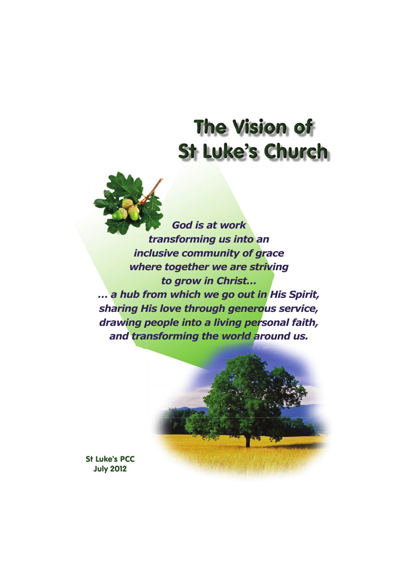## **The Vision of St Luke's Church**

*God is at work transforming us into an trans inclusive community of grace where together we are striving to grow in Christ… … a hub from which we go out in His Spirit, sharing His love through generous service, drawing people into a living personal faith, and transforming the world around us.* 



St Luke's PCC July 2012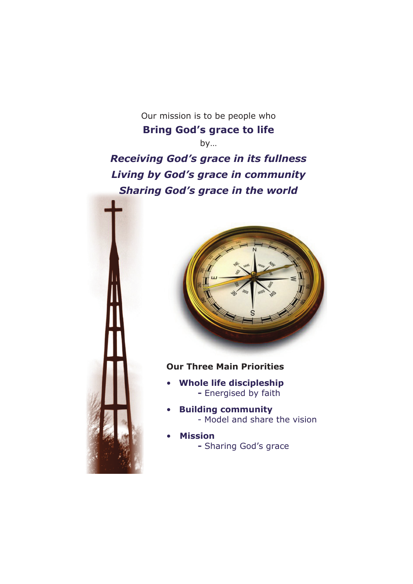Our mission is to be people who **Bring God's grace to life** by…

*Receiving God's grace in its fullness Living by God's grace in community Sharing God's grace in the world*





## **Our Three Main Priorities**

- **Whole life discipleship -** Energised by faith
- **Building community** - Model and share the vision
- **Mission**
	- **-** Sharing God's grace